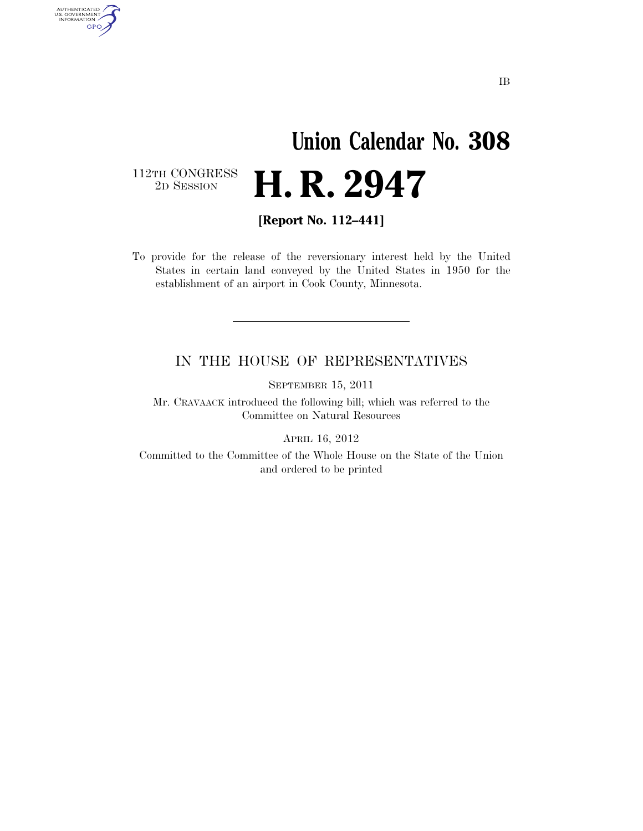## **Union Calendar No. 308**  2D SESSION **H. R. 2947**

112TH CONGRESS<br>2D SESSION

AUTHENTICATED<br>U.S. GOVERNMENT<br>INFORMATION **GPO** 

**[Report No. 112–441]** 

To provide for the release of the reversionary interest held by the United States in certain land conveyed by the United States in 1950 for the establishment of an airport in Cook County, Minnesota.

## IN THE HOUSE OF REPRESENTATIVES

SEPTEMBER 15, 2011

Mr. CRAVAACK introduced the following bill; which was referred to the Committee on Natural Resources

APRIL 16, 2012

Committed to the Committee of the Whole House on the State of the Union and ordered to be printed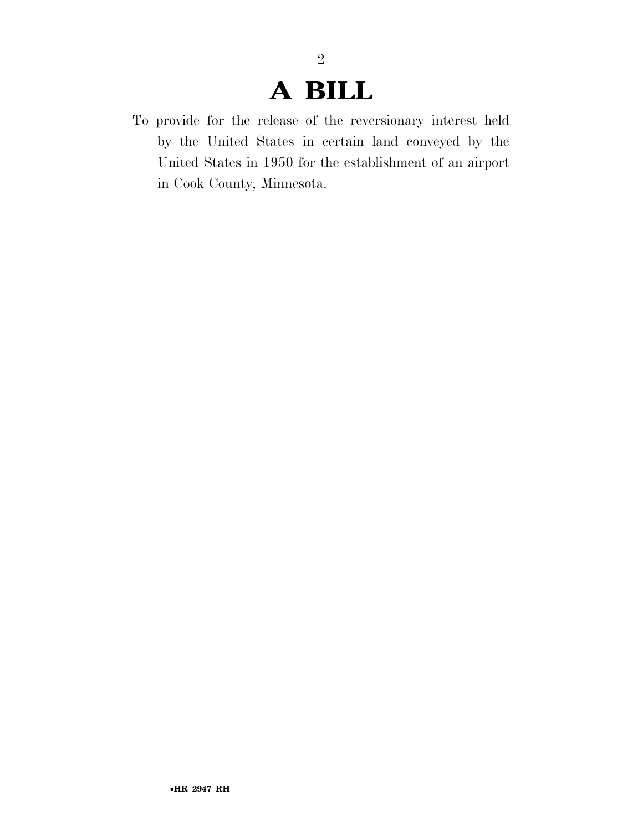## **A BILL**

2

To provide for the release of the reversionary interest held by the United States in certain land conveyed by the United States in 1950 for the establishment of an airport in Cook County, Minnesota.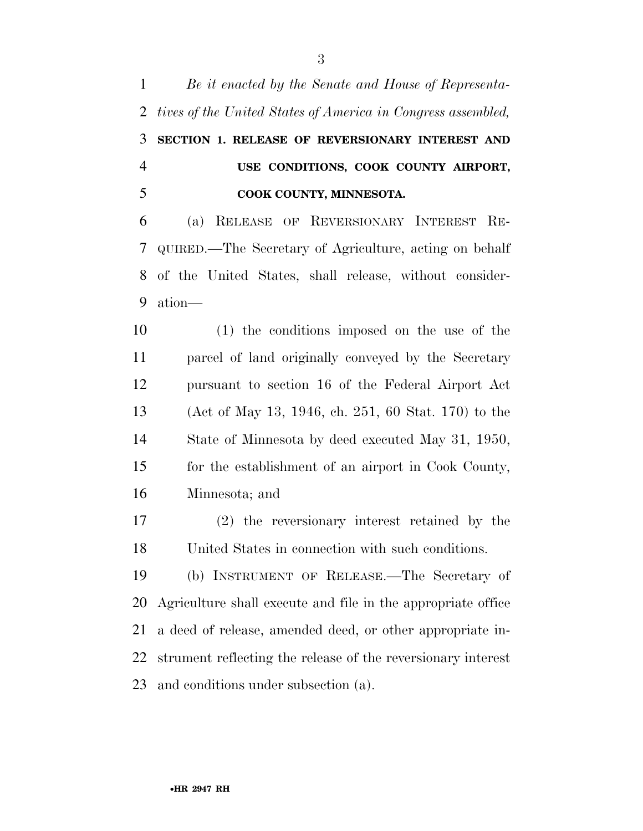*Be it enacted by the Senate and House of Representa- tives of the United States of America in Congress assembled,*  **SECTION 1. RELEASE OF REVERSIONARY INTEREST AND USE CONDITIONS, COOK COUNTY AIRPORT, COOK COUNTY, MINNESOTA.**  (a) RELEASE OF REVERSIONARY INTEREST RE- QUIRED.—The Secretary of Agriculture, acting on behalf of the United States, shall release, without consider- ation— (1) the conditions imposed on the use of the parcel of land originally conveyed by the Secretary pursuant to section 16 of the Federal Airport Act (Act of May 13, 1946, ch. 251, 60 Stat. 170) to the State of Minnesota by deed executed May 31, 1950, for the establishment of an airport in Cook County, Minnesota; and (2) the reversionary interest retained by the United States in connection with such conditions. (b) INSTRUMENT OF RELEASE.—The Secretary of Agriculture shall execute and file in the appropriate office a deed of release, amended deed, or other appropriate in- strument reflecting the release of the reversionary interest and conditions under subsection (a).